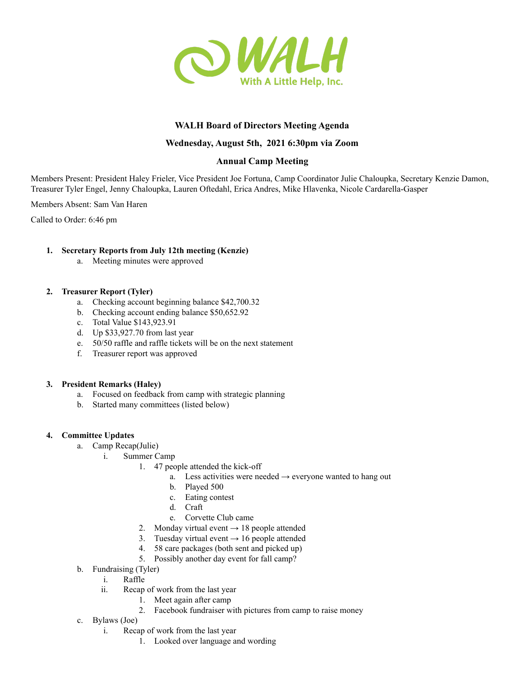

# **WALH Board of Directors Meeting Agenda**

## **Wednesday, August 5th, 2021 6:30pm via Zoom**

## **Annual Camp Meeting**

Members Present: President Haley Frieler, Vice President Joe Fortuna, Camp Coordinator Julie Chaloupka, Secretary Kenzie Damon, Treasurer Tyler Engel, Jenny Chaloupka, Lauren Oftedahl, Erica Andres, Mike Hlavenka, Nicole Cardarella-Gasper

Members Absent: Sam Van Haren

Called to Order: 6:46 pm

## **1. Secretary Reports from July 12th meeting (Kenzie)**

a. Meeting minutes were approved

#### **2. Treasurer Report (Tyler)**

- a. Checking account beginning balance \$42,700.32
- b. Checking account ending balance \$50,652.92
- c. Total Value \$143,923.91
- d. Up \$33,927.70 from last year
- e. 50/50 raffle and raffle tickets will be on the next statement
- f. Treasurer report was approved

#### **3. President Remarks (Haley)**

- a. Focused on feedback from camp with strategic planning
- b. Started many committees (listed below)

#### **4. Committee Updates**

- a. Camp Recap(Julie)
	- i. Summer Camp
		- 1. 47 people attended the kick-off
			- a. Less activities were needed  $\rightarrow$  everyone wanted to hang out
			- b. Played 500
			- c. Eating contest
			- d. Craft
			- e. Corvette Club came
		- 2. Monday virtual event  $\rightarrow$  18 people attended
		- 3. Tuesday virtual event  $\rightarrow$  16 people attended
		- 4. 58 care packages (both sent and picked up)
		- 5. Possibly another day event for fall camp?
- b. Fundraising (Tyler)
	- i. Raffle
	- ii. Recap of work from the last year
		- 1. Meet again after camp
		- 2. Facebook fundraiser with pictures from camp to raise money
- c. Bylaws (Joe)
	- i. Recap of work from the last year
		- 1. Looked over language and wording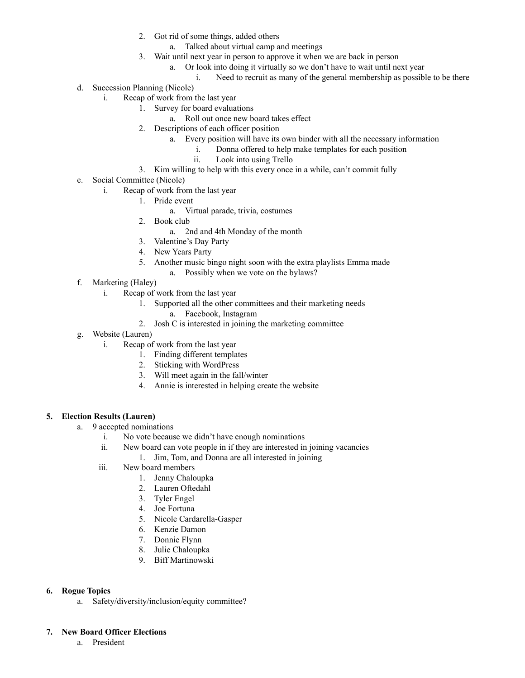- 2. Got rid of some things, added others
	- a. Talked about virtual camp and meetings
- 3. Wait until next year in person to approve it when we are back in person
	- a. Or look into doing it virtually so we don't have to wait until next year
		- i. Need to recruit as many of the general membership as possible to be there
- d. Succession Planning (Nicole)
	- i. Recap of work from the last year
		- 1. Survey for board evaluations
			- a. Roll out once new board takes effect
		- 2. Descriptions of each officer position
			- a. Every position will have its own binder with all the necessary information
				- i. Donna offered to help make templates for each position
					- ii. Look into using Trello
		- 3. Kim willing to help with this every once in a while, can't commit fully
- e. Social Committee (Nicole)
	- i. Recap of work from the last year
		- 1. Pride event
			- a. Virtual parade, trivia, costumes
		- 2. Book club
			- a. 2nd and 4th Monday of the month
		- 3. Valentine's Day Party
		- 4. New Years Party
		- 5. Another music bingo night soon with the extra playlists Emma made
			- a. Possibly when we vote on the bylaws?
- f. Marketing (Haley)
	- i. Recap of work from the last year
		- 1. Supported all the other committees and their marketing needs
			- a. Facebook, Instagram
		- 2. Josh C is interested in joining the marketing committee
- g. Website (Lauren)
	- i. Recap of work from the last year
		- 1. Finding different templates
		- 2. Sticking with WordPress
		- 3. Will meet again in the fall/winter
		- 4. Annie is interested in helping create the website

## **5. Election Results (Lauren)**

- a. 9 accepted nominations
	- i. No vote because we didn't have enough nominations
	- ii. New board can vote people in if they are interested in joining vacancies
		- 1. Jim, Tom, and Donna are all interested in joining
	- iii. New board members
		- 1. Jenny Chaloupka
		- 2. Lauren Oftedahl
		- 3. Tyler Engel
		- 4. Joe Fortuna
		- 5. Nicole Cardarella-Gasper
		- 6. Kenzie Damon
		- 7. Donnie Flynn
		- 8. Julie Chaloupka
		- 9. Biff Martinowski

## **6. Rogue Topics**

a. Safety/diversity/inclusion/equity committee?

## **7. New Board Officer Elections**

a. President